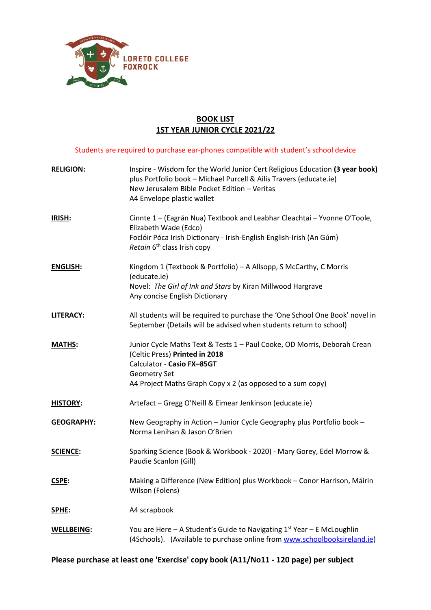

## **BOOK LIST 1ST YEAR JUNIOR CYCLE 2021/22**

Students are required to purchase ear-phones compatible with student's school device

| <b>RELIGION:</b>  | Inspire - Wisdom for the World Junior Cert Religious Education (3 year book)<br>plus Portfolio book - Michael Purcell & Ailís Travers (educate.ie)<br>New Jerusalem Bible Pocket Edition - Veritas<br>A4 Envelope plastic wallet |
|-------------------|----------------------------------------------------------------------------------------------------------------------------------------------------------------------------------------------------------------------------------|
| IRISH:            | Cinnte 1 - (Eagrán Nua) Textbook and Leabhar Cleachtaí - Yvonne O'Toole,<br>Elizabeth Wade (Edco)<br>Foclóir Póca Irish Dictionary - Irish-English English-Irish (An Gúm)<br>Retain 6 <sup>th</sup> class Irish copy             |
| <b>ENGLISH:</b>   | Kingdom 1 (Textbook & Portfolio) - A Allsopp, S McCarthy, C Morris<br>(educate.ie)<br>Novel: The Girl of Ink and Stars by Kiran Millwood Hargrave<br>Any concise English Dictionary                                              |
| <b>LITERACY:</b>  | All students will be required to purchase the 'One School One Book' novel in<br>September (Details will be advised when students return to school)                                                                               |
| <b>MATHS:</b>     | Junior Cycle Maths Text & Tests 1 - Paul Cooke, OD Morris, Deborah Crean<br>(Celtic Press) Printed in 2018<br>Calculator - Casio FX-85GT<br>Geometry Set<br>A4 Project Maths Graph Copy x 2 (as opposed to a sum copy)           |
| <b>HISTORY:</b>   | Artefact - Gregg O'Neill & Eimear Jenkinson (educate.ie)                                                                                                                                                                         |
| <b>GEOGRAPHY:</b> | New Geography in Action - Junior Cycle Geography plus Portfolio book -<br>Norma Lenihan & Jason O'Brien                                                                                                                          |
| <b>SCIENCE:</b>   | Sparking Science (Book & Workbook - 2020) - Mary Gorey, Edel Morrow &<br>Paudie Scanlon (Gill)                                                                                                                                   |
| <b>CSPE:</b>      | Making a Difference (New Edition) plus Workbook - Conor Harrison, Máirin<br>Wilson (Folens)                                                                                                                                      |
| SPHE:             | A4 scrapbook                                                                                                                                                                                                                     |
| <b>WELLBEING:</b> | You are Here $-$ A Student's Guide to Navigating $1st$ Year $-$ E McLoughlin<br>(4Schools). (Available to purchase online from www.schoolbooksireland.ie)                                                                        |

**Please purchase at least one 'Exercise' copy book (A11/No11 - 120 page) per subject**